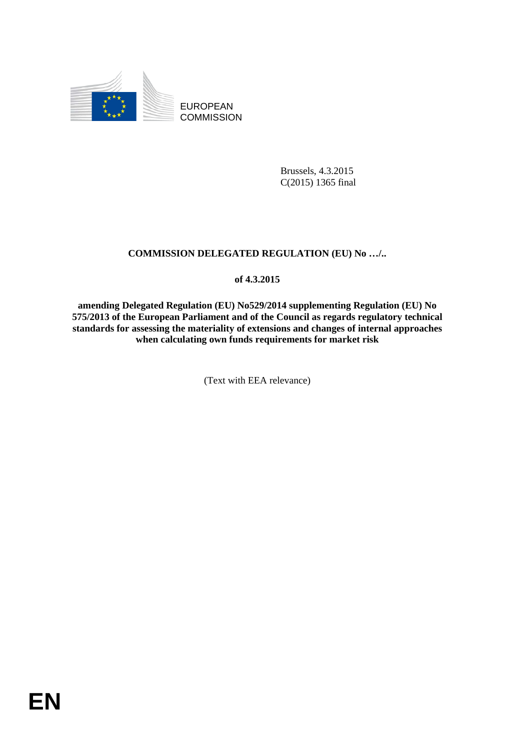

EUROPEAN **COMMISSION** 

> Brussels, 4.3.2015 C(2015) 1365 final

#### **COMMISSION DELEGATED REGULATION (EU) No …/..**

#### **of 4.3.2015**

**amending Delegated Regulation (EU) No529/2014 supplementing Regulation (EU) No 575/2013 of the European Parliament and of the Council as regards regulatory technical standards for assessing the materiality of extensions and changes of internal approaches when calculating own funds requirements for market risk** 

(Text with EEA relevance)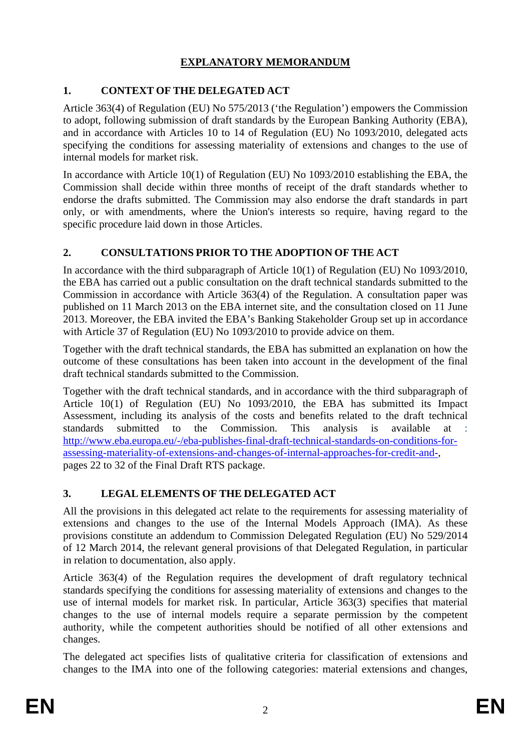# **EXPLANATORY MEMORANDUM**

# **1. CONTEXT OF THE DELEGATED ACT**

Article 363(4) of Regulation (EU) No 575/2013 ('the Regulation') empowers the Commission to adopt, following submission of draft standards by the European Banking Authority (EBA), and in accordance with Articles 10 to 14 of Regulation (EU) No 1093/2010, delegated acts specifying the conditions for assessing materiality of extensions and changes to the use of internal models for market risk.

In accordance with Article 10(1) of Regulation (EU) No 1093/2010 establishing the EBA, the Commission shall decide within three months of receipt of the draft standards whether to endorse the drafts submitted. The Commission may also endorse the draft standards in part only, or with amendments, where the Union's interests so require, having regard to the specific procedure laid down in those Articles.

# **2. CONSULTATIONS PRIOR TO THE ADOPTION OF THE ACT**

In accordance with the third subparagraph of Article 10(1) of Regulation (EU) No 1093/2010, the EBA has carried out a public consultation on the draft technical standards submitted to the Commission in accordance with Article 363(4) of the Regulation. A consultation paper was published on 11 March 2013 on the EBA internet site, and the consultation closed on 11 June 2013. Moreover, the EBA invited the EBA's Banking Stakeholder Group set up in accordance with Article 37 of Regulation (EU) No 1093/2010 to provide advice on them.

Together with the draft technical standards, the EBA has submitted an explanation on how the outcome of these consultations has been taken into account in the development of the final draft technical standards submitted to the Commission.

Together with the draft technical standards, and in accordance with the third subparagraph of Article 10(1) of Regulation (EU) No 1093/2010, the EBA has submitted its Impact Assessment, including its analysis of the costs and benefits related to the draft technical standards submitted to the Commission. This analysis is available at : [http://www.eba.europa.eu/-/eba-publishes-final-draft-technical-standards-on-conditions-for](http://www.eba.europa.eu/-/eba-publishes-final-draft-technical-standards-on-conditions-for-assessing-materiality-of-extensions-and-changes-of-internal-approaches-for-credit-and-)[assessing-materiality-of-extensions-and-changes-of-internal-approaches-for-credit-and-,](http://www.eba.europa.eu/-/eba-publishes-final-draft-technical-standards-on-conditions-for-assessing-materiality-of-extensions-and-changes-of-internal-approaches-for-credit-and-) pages 22 to 32 of the Final Draft RTS package.

# **3. LEGAL ELEMENTS OF THE DELEGATED ACT**

All the provisions in this delegated act relate to the requirements for assessing materiality of extensions and changes to the use of the Internal Models Approach (IMA). As these provisions constitute an addendum to Commission Delegated Regulation (EU) No 529/2014 of 12 March 2014, the relevant general provisions of that Delegated Regulation, in particular in relation to documentation, also apply.

Article 363(4) of the Regulation requires the development of draft regulatory technical standards specifying the conditions for assessing materiality of extensions and changes to the use of internal models for market risk. In particular, Article 363(3) specifies that material changes to the use of internal models require a separate permission by the competent authority, while the competent authorities should be notified of all other extensions and changes.

The delegated act specifies lists of qualitative criteria for classification of extensions and changes to the IMA into one of the following categories: material extensions and changes,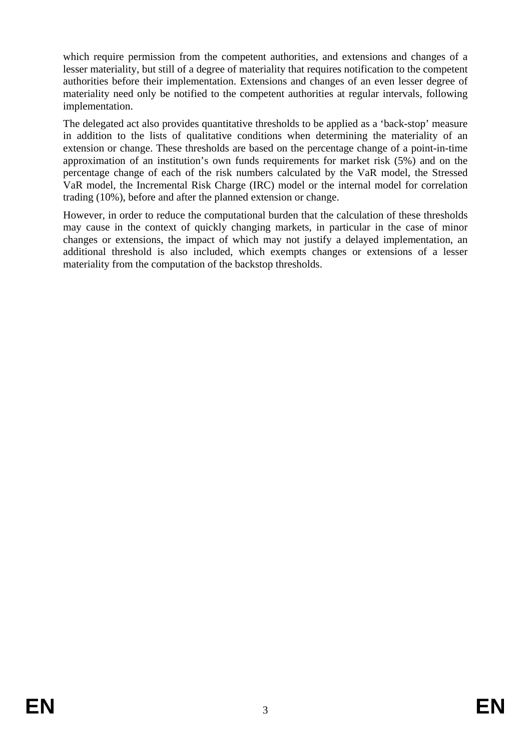which require permission from the competent authorities, and extensions and changes of a lesser materiality, but still of a degree of materiality that requires notification to the competent authorities before their implementation. Extensions and changes of an even lesser degree of materiality need only be notified to the competent authorities at regular intervals, following implementation.

The delegated act also provides quantitative thresholds to be applied as a 'back-stop' measure in addition to the lists of qualitative conditions when determining the materiality of an extension or change. These thresholds are based on the percentage change of a point-in-time approximation of an institution's own funds requirements for market risk (5%) and on the percentage change of each of the risk numbers calculated by the VaR model, the Stressed VaR model, the Incremental Risk Charge (IRC) model or the internal model for correlation trading (10%), before and after the planned extension or change.

However, in order to reduce the computational burden that the calculation of these thresholds may cause in the context of quickly changing markets, in particular in the case of minor changes or extensions, the impact of which may not justify a delayed implementation, an additional threshold is also included, which exempts changes or extensions of a lesser materiality from the computation of the backstop thresholds.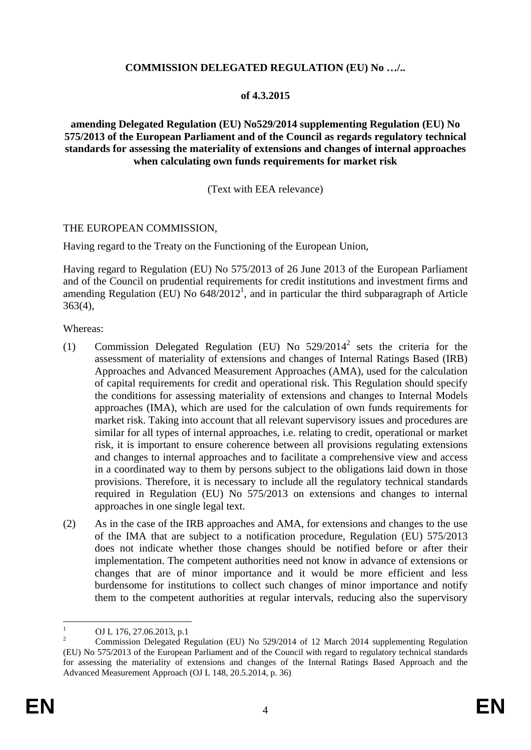### **COMMISSION DELEGATED REGULATION (EU) No …/..**

## **of 4.3.2015**

### **amending Delegated Regulation (EU) No529/2014 supplementing Regulation (EU) No 575/2013 of the European Parliament and of the Council as regards regulatory technical standards for assessing the materiality of extensions and changes of internal approaches when calculating own funds requirements for market risk**

## (Text with EEA relevance)

## THE EUROPEAN COMMISSION,

Having regard to the Treaty on the Functioning of the European Union,

Having regard to Regulation (EU) No 575/2013 of 26 June 2013 of the European Parliament and of the Council on prudential requirements for credit institutions and investment firms and amending Regulation (EU) No  $648/2012<sup>1</sup>$ , and in particular the third subparagraph of Article 363(4),

#### Whereas:

- (1) Commission Delegated Regulation (EU) No  $529/2014^2$  sets the criteria for the assessment of materiality of extensions and changes of Internal Ratings Based (IRB) Approaches and Advanced Measurement Approaches (AMA), used for the calculation of capital requirements for credit and operational risk. This Regulation should specify the conditions for assessing materiality of extensions and changes to Internal Models approaches (IMA), which are used for the calculation of own funds requirements for market risk. Taking into account that all relevant supervisory issues and procedures are similar for all types of internal approaches, i.e. relating to credit, operational or market risk, it is important to ensure coherence between all provisions regulating extensions and changes to internal approaches and to facilitate a comprehensive view and access in a coordinated way to them by persons subject to the obligations laid down in those provisions. Therefore, it is necessary to include all the regulatory technical standards required in Regulation (EU) No 575/2013 on extensions and changes to internal approaches in one single legal text.
- (2) As in the case of the IRB approaches and AMA, for extensions and changes to the use of the IMA that are subject to a notification procedure, Regulation (EU) 575/2013 does not indicate whether those changes should be notified before or after their implementation. The competent authorities need not know in advance of extensions or changes that are of minor importance and it would be more efficient and less burdensome for institutions to collect such changes of minor importance and notify them to the competent authorities at regular intervals, reducing also the supervisory

 $\frac{1}{1}$ OJ L 176, 27.06.2013, p.1

<sup>2</sup> Commission Delegated Regulation (EU) No 529/2014 of 12 March 2014 supplementing Regulation (EU) No 575/2013 of the European Parliament and of the Council with regard to regulatory technical standards for assessing the materiality of extensions and changes of the Internal Ratings Based Approach and the Advanced Measurement Approach (OJ L 148, 20.5.2014, p. 36)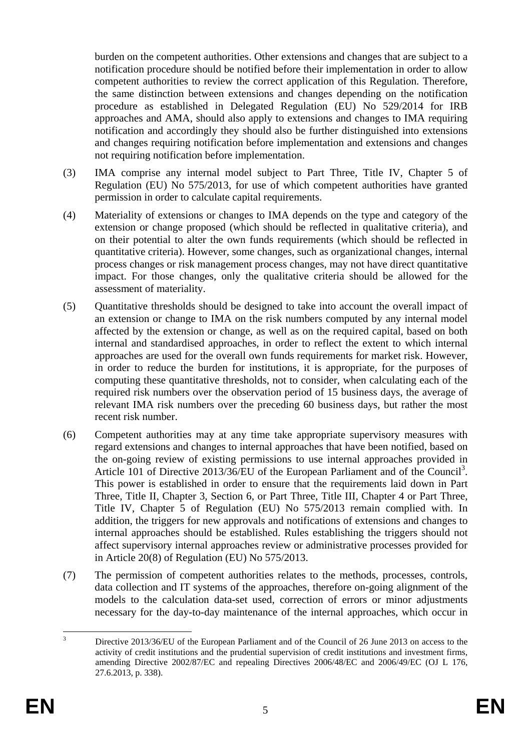burden on the competent authorities. Other extensions and changes that are subject to a notification procedure should be notified before their implementation in order to allow competent authorities to review the correct application of this Regulation. Therefore, the same distinction between extensions and changes depending on the notification procedure as established in Delegated Regulation (EU) No 529/2014 for IRB approaches and AMA, should also apply to extensions and changes to IMA requiring notification and accordingly they should also be further distinguished into extensions and changes requiring notification before implementation and extensions and changes not requiring notification before implementation.

- (3) IMA comprise any internal model subject to Part Three, Title IV, Chapter 5 of Regulation (EU) No 575/2013, for use of which competent authorities have granted permission in order to calculate capital requirements.
- (4) Materiality of extensions or changes to IMA depends on the type and category of the extension or change proposed (which should be reflected in qualitative criteria), and on their potential to alter the own funds requirements (which should be reflected in quantitative criteria). However, some changes, such as organizational changes, internal process changes or risk management process changes, may not have direct quantitative impact. For those changes, only the qualitative criteria should be allowed for the assessment of materiality.
- (5) Quantitative thresholds should be designed to take into account the overall impact of an extension or change to IMA on the risk numbers computed by any internal model affected by the extension or change, as well as on the required capital, based on both internal and standardised approaches, in order to reflect the extent to which internal approaches are used for the overall own funds requirements for market risk. However, in order to reduce the burden for institutions, it is appropriate, for the purposes of computing these quantitative thresholds, not to consider, when calculating each of the required risk numbers over the observation period of 15 business days, the average of relevant IMA risk numbers over the preceding 60 business days, but rather the most recent risk number.
- (6) Competent authorities may at any time take appropriate supervisory measures with regard extensions and changes to internal approaches that have been notified, based on the on-going review of existing permissions to use internal approaches provided in Article 101 of Directive 2013/36/EU of the European Parliament and of the Council<sup>3</sup>. This power is established in order to ensure that the requirements laid down in Part Three, Title II, Chapter 3, Section 6, or Part Three, Title III, Chapter 4 or Part Three, Title IV, Chapter 5 of Regulation (EU) No 575/2013 remain complied with. In addition, the triggers for new approvals and notifications of extensions and changes to internal approaches should be established. Rules establishing the triggers should not affect supervisory internal approaches review or administrative processes provided for in Article 20(8) of Regulation (EU) No 575/2013.
- (7) The permission of competent authorities relates to the methods, processes, controls, data collection and IT systems of the approaches, therefore on-going alignment of the models to the calculation data-set used, correction of errors or minor adjustments necessary for the day-to-day maintenance of the internal approaches, which occur in

 $\frac{1}{3}$  Directive 2013/36/EU of the European Parliament and of the Council of 26 June 2013 on access to the activity of credit institutions and the prudential supervision of credit institutions and investment firms, amending Directive 2002/87/EC and repealing Directives 2006/48/EC and 2006/49/EC (OJ L 176, 27.6.2013, p. 338).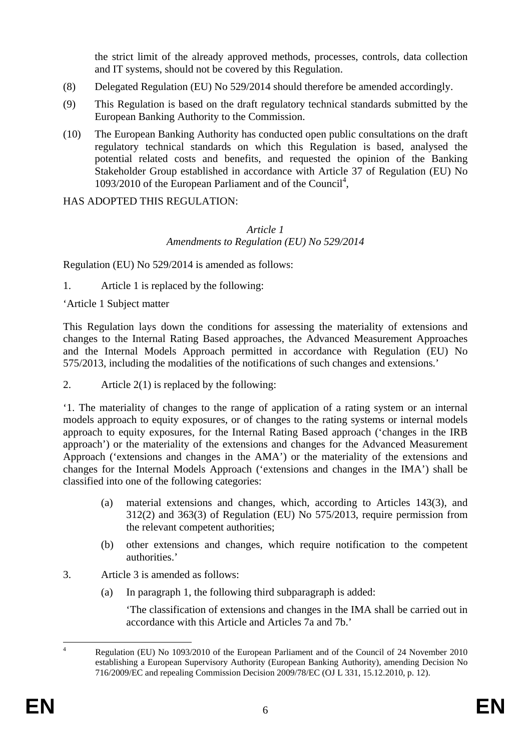the strict limit of the already approved methods, processes, controls, data collection and IT systems, should not be covered by this Regulation.

- (8) Delegated Regulation (EU) No 529/2014 should therefore be amended accordingly.
- (9) This Regulation is based on the draft regulatory technical standards submitted by the European Banking Authority to the Commission.
- (10) The European Banking Authority has conducted open public consultations on the draft regulatory technical standards on which this Regulation is based, analysed the potential related costs and benefits, and requested the opinion of the Banking Stakeholder Group established in accordance with Article 37 of Regulation (EU) No 1093/2010 of the European Parliament and of the Council<sup>4</sup>,

HAS ADOPTED THIS REGULATION:

### *Article 1 Amendments to Regulation (EU) No 529/2014*

Regulation (EU) No 529/2014 is amended as follows:

1. Article 1 is replaced by the following:

'Article 1 Subject matter

This Regulation lays down the conditions for assessing the materiality of extensions and changes to the Internal Rating Based approaches, the Advanced Measurement Approaches and the Internal Models Approach permitted in accordance with Regulation (EU) No 575/2013, including the modalities of the notifications of such changes and extensions.'

2. Article 2(1) is replaced by the following:

'1. The materiality of changes to the range of application of a rating system or an internal models approach to equity exposures, or of changes to the rating systems or internal models approach to equity exposures, for the Internal Rating Based approach ('changes in the IRB approach') or the materiality of the extensions and changes for the Advanced Measurement Approach ('extensions and changes in the AMA') or the materiality of the extensions and changes for the Internal Models Approach ('extensions and changes in the IMA') shall be classified into one of the following categories:

- (a) material extensions and changes, which, according to Articles 143(3), and 312(2) and 363(3) of Regulation (EU) No 575/2013, require permission from the relevant competent authorities;
- (b) other extensions and changes, which require notification to the competent authorities.'
- 3. Article 3 is amended as follows:
	- (a) In paragraph 1, the following third subparagraph is added:

'The classification of extensions and changes in the IMA shall be carried out in accordance with this Article and Articles 7a and 7b.'

 $\frac{1}{4}$  Regulation (EU) No 1093/2010 of the European Parliament and of the Council of 24 November 2010 establishing a European Supervisory Authority (European Banking Authority), amending Decision No 716/2009/EC and repealing Commission Decision 2009/78/EC (OJ L 331, 15.12.2010, p. 12).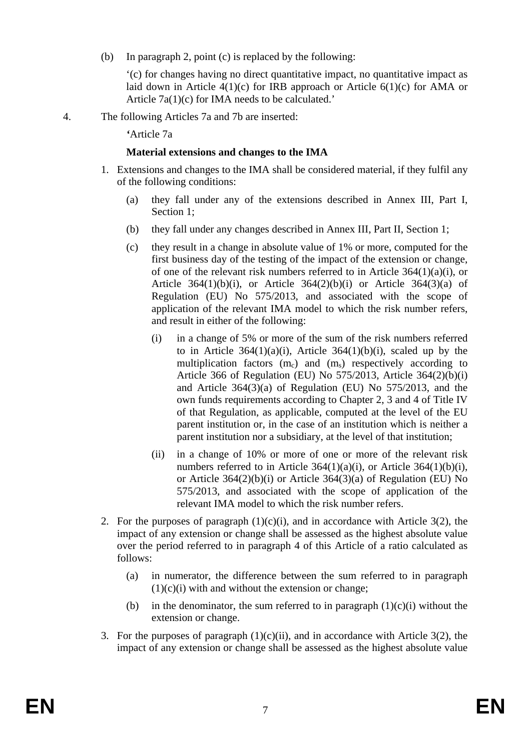(b) In paragraph 2, point (c) is replaced by the following:

'(c) for changes having no direct quantitative impact, no quantitative impact as laid down in Article  $4(1)(c)$  for IRB approach or Article  $6(1)(c)$  for AMA or Article 7a(1)(c) for IMA needs to be calculated.'

4. The following Articles 7a and 7b are inserted:

*'*Article 7a

## **Material extensions and changes to the IMA**

- 1. Extensions and changes to the IMA shall be considered material, if they fulfil any of the following conditions:
	- (a) they fall under any of the extensions described in Annex III, Part I, Section 1;
	- (b) they fall under any changes described in Annex III, Part II, Section 1;
	- (c) they result in a change in absolute value of 1% or more, computed for the first business day of the testing of the impact of the extension or change, of one of the relevant risk numbers referred to in Article  $364(1)(a)(i)$ , or Article  $364(1)(b)(i)$ , or Article  $364(2)(b)(i)$  or Article  $364(3)(a)$  of Regulation (EU) No 575/2013, and associated with the scope of application of the relevant IMA model to which the risk number refers, and result in either of the following:
		- (i) in a change of 5% or more of the sum of the risk numbers referred to in Article  $364(1)(a)(i)$ , Article  $364(1)(b)(i)$ , scaled up by the multiplication factors  $(m_c)$  and  $(m_s)$  respectively according to Article 366 of Regulation (EU) No 575/2013, Article 364(2)(b)(i) and Article 364(3)(a) of Regulation (EU) No 575/2013, and the own funds requirements according to Chapter 2, 3 and 4 of Title IV of that Regulation, as applicable, computed at the level of the EU parent institution or, in the case of an institution which is neither a parent institution nor a subsidiary, at the level of that institution;
		- (ii) in a change of 10% or more of one or more of the relevant risk numbers referred to in Article  $364(1)(a)(i)$ , or Article  $364(1)(b)(i)$ , or Article 364(2)(b)(i) or Article 364(3)(a) of Regulation (EU) No 575/2013, and associated with the scope of application of the relevant IMA model to which the risk number refers.
- 2. For the purposes of paragraph  $(1)(c)(i)$ , and in accordance with Article 3(2), the impact of any extension or change shall be assessed as the highest absolute value over the period referred to in paragraph 4 of this Article of a ratio calculated as follows:
	- (a) in numerator, the difference between the sum referred to in paragraph  $(1)(c)(i)$  with and without the extension or change;
	- (b) in the denominator, the sum referred to in paragraph  $(1)(c)(i)$  without the extension or change.
- 3. For the purposes of paragraph  $(1)(c)(ii)$ , and in accordance with Article 3(2), the impact of any extension or change shall be assessed as the highest absolute value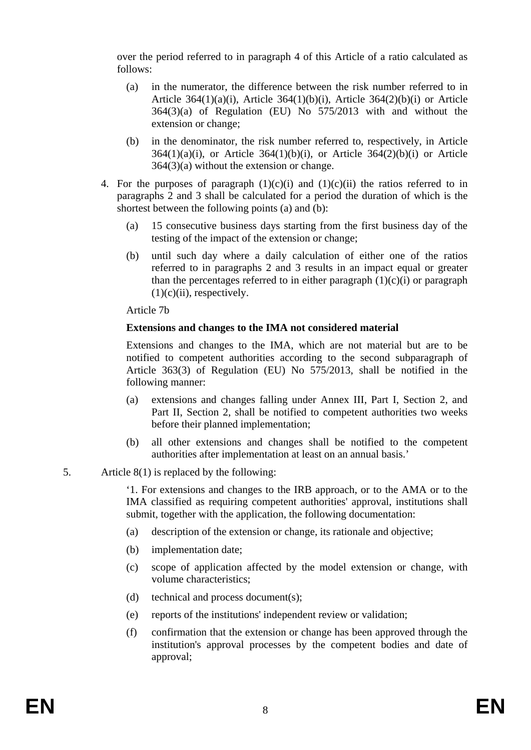over the period referred to in paragraph 4 of this Article of a ratio calculated as follows:

- (a) in the numerator, the difference between the risk number referred to in Article  $364(1)(a)(i)$ , Article  $364(1)(b)(i)$ , Article  $364(2)(b)(i)$  or Article 364(3)(a) of Regulation (EU) No 575/2013 with and without the extension or change;
- (b) in the denominator, the risk number referred to, respectively, in Article  $364(1)(a)(i)$ , or Article  $364(1)(b)(i)$ , or Article  $364(2)(b)(i)$  or Article 364(3)(a) without the extension or change.
- 4. For the purposes of paragraph  $(1)(c)(i)$  and  $(1)(c)(ii)$  the ratios referred to in paragraphs 2 and 3 shall be calculated for a period the duration of which is the shortest between the following points (a) and (b):
	- (a) 15 consecutive business days starting from the first business day of the testing of the impact of the extension or change;
	- (b) until such day where a daily calculation of either one of the ratios referred to in paragraphs 2 and 3 results in an impact equal or greater than the percentages referred to in either paragraph  $(1)(c)(i)$  or paragraph  $(1)(c)(ii)$ , respectively.

Article 7b

## **Extensions and changes to the IMA not considered material**

Extensions and changes to the IMA, which are not material but are to be notified to competent authorities according to the second subparagraph of Article 363(3) of Regulation (EU) No 575/2013, shall be notified in the following manner:

- (a) extensions and changes falling under Annex III, Part I, Section 2, and Part II, Section 2, shall be notified to competent authorities two weeks before their planned implementation;
- (b) all other extensions and changes shall be notified to the competent authorities after implementation at least on an annual basis.'

# 5. Article 8(1) is replaced by the following:

'1. For extensions and changes to the IRB approach, or to the AMA or to the IMA classified as requiring competent authorities' approval, institutions shall submit, together with the application, the following documentation:

- (a) description of the extension or change, its rationale and objective;
- (b) implementation date;
- (c) scope of application affected by the model extension or change, with volume characteristics;
- (d) technical and process document(s);
- (e) reports of the institutions' independent review or validation;
- (f) confirmation that the extension or change has been approved through the institution's approval processes by the competent bodies and date of approval;